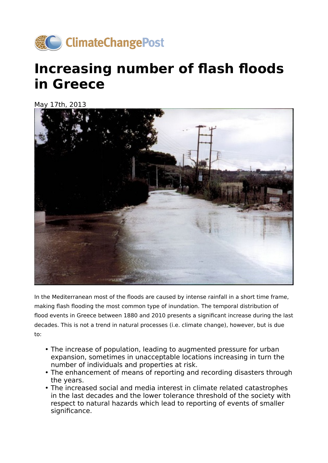

## **Increasing number of flash floods in Greece**

May 17th, 2013



In the Mediterranean most of the floods are caused by intense rainfall in a short time frame, making flash flooding the most common type of inundation. The temporal distribution of flood events in Greece between 1880 and 2010 presents a significant increase during the last decades. This is not a trend in natural processes (i.e. climate change), however, but is due to:

- The increase of population, leading to augmented pressure for urban expansion, sometimes in unacceptable locations increasing in turn the number of individuals and properties at risk.
- The enhancement of means of reporting and recording disasters through the years.
- The increased social and media interest in climate related catastrophes in the last decades and the lower tolerance threshold of the society with respect to natural hazards which lead to reporting of events of smaller significance.